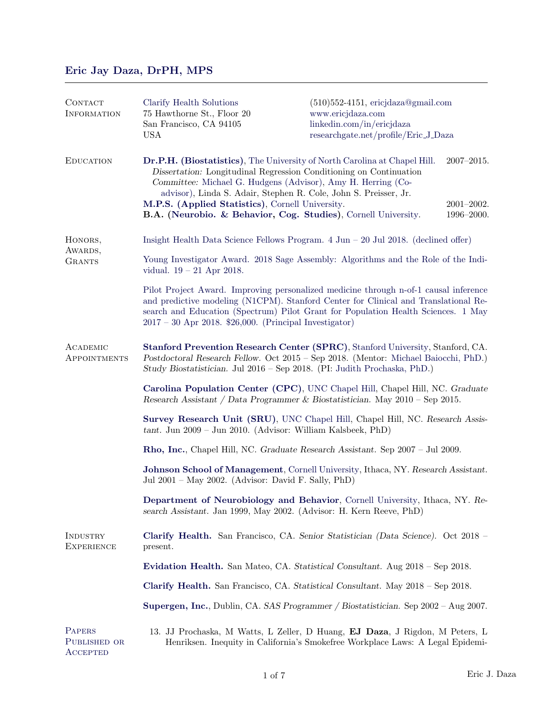# [Eric Jay Daza, DrPH, MPS](https://www.ericjdaza.com/)

| CONTACT<br><b>INFORMATION</b>                    | Clarify Health Solutions<br>75 Hawthorne St., Floor 20<br>San Francisco, CA 94105<br><b>USA</b>                                                                                                                                                                                                                                                                                                           | $(510)552-4151$ , ericjdaza@gmail.com<br>www.ericjdaza.com<br>linkedin.com/in/ericjdaza<br>researchgate.net/profile/Eric_J_Daza |                                                |  |
|--------------------------------------------------|-----------------------------------------------------------------------------------------------------------------------------------------------------------------------------------------------------------------------------------------------------------------------------------------------------------------------------------------------------------------------------------------------------------|---------------------------------------------------------------------------------------------------------------------------------|------------------------------------------------|--|
| <b>EDUCATION</b>                                 | Dr.P.H. (Biostatistics), The University of North Carolina at Chapel Hill.<br>Dissertation: Longitudinal Regression Conditioning on Continuation<br>Committee: Michael G. Hudgens (Advisor), Amy H. Herring (Co-<br>advisor), Linda S. Adair, Stephen R. Cole, John S. Preisser, Jr.<br>M.P.S. (Applied Statistics), Cornell University.<br>B.A. (Neurobio. & Behavior, Cog. Studies), Cornell University. |                                                                                                                                 | $2007 - 2015.$<br>$2001 - 2002.$<br>1996-2000. |  |
| HONORS,<br>AWARDS,<br><b>GRANTS</b>              | Insight Health Data Science Fellows Program. $4 \text{ Jun} - 20 \text{ Jul } 2018$ . (declined offer)                                                                                                                                                                                                                                                                                                    |                                                                                                                                 |                                                |  |
|                                                  | Young Investigator Award. 2018 Sage Assembly: Algorithms and the Role of the Indi-<br>vidual. $19 - 21$ Apr 2018.                                                                                                                                                                                                                                                                                         |                                                                                                                                 |                                                |  |
|                                                  | Pilot Project Award. Improving personalized medicine through n-of-1 causal inference<br>and predictive modeling (N1CPM). Stanford Center for Clinical and Translational Re-<br>search and Education (Spectrum) Pilot Grant for Population Health Sciences. 1 May<br>$2017 - 30$ Apr 2018. \$26,000. (Principal Investigator)                                                                              |                                                                                                                                 |                                                |  |
| ACADEMIC<br>APPOINTMENTS                         | Stanford Prevention Research Center (SPRC), Stanford University, Stanford, CA.<br>Postdoctoral Research Fellow. Oct 2015 - Sep 2018. (Mentor: Michael Baiocchi, PhD.)<br>Study Biostatistician. Jul 2016 – Sep 2018. (PI: Judith Prochaska, PhD.)                                                                                                                                                         |                                                                                                                                 |                                                |  |
|                                                  | Carolina Population Center (CPC), UNC Chapel Hill, Chapel Hill, NC. Graduate<br>Research Assistant / Data Programmer & Biostatistician. May $2010$ – Sep 2015.                                                                                                                                                                                                                                            |                                                                                                                                 |                                                |  |
|                                                  | Survey Research Unit (SRU), UNC Chapel Hill, Chapel Hill, NC. Research Assis-<br>$tant.$ Jun 2009 – Jun 2010. (Advisor: William Kalsbeek, PhD)                                                                                                                                                                                                                                                            |                                                                                                                                 |                                                |  |
|                                                  | Rho, Inc., Chapel Hill, NC. Graduate Research Assistant. Sep 2007 - Jul 2009.                                                                                                                                                                                                                                                                                                                             |                                                                                                                                 |                                                |  |
|                                                  | Johnson School of Management, Cornell University, Ithaca, NY. Research Assistant.<br>Jul 2001 – May 2002. (Advisor: David F. Sally, PhD)                                                                                                                                                                                                                                                                  |                                                                                                                                 |                                                |  |
|                                                  | Department of Neurobiology and Behavior, Cornell University, Ithaca, NY. Re-<br>search Assistant. Jan 1999, May 2002. (Advisor: H. Kern Reeve, PhD)                                                                                                                                                                                                                                                       |                                                                                                                                 |                                                |  |
| INDUSTRY<br><b>EXPERIENCE</b>                    | Clarify Health. San Francisco, CA. Senior Statistician (Data Science). Oct 2018 –<br>present.                                                                                                                                                                                                                                                                                                             |                                                                                                                                 |                                                |  |
|                                                  | Evidation Health. San Mateo, CA. Statistical Consultant. Aug 2018 - Sep 2018.                                                                                                                                                                                                                                                                                                                             |                                                                                                                                 |                                                |  |
|                                                  | Clarify Health. San Francisco, CA. Statistical Consultant. May 2018 - Sep 2018.                                                                                                                                                                                                                                                                                                                           |                                                                                                                                 |                                                |  |
|                                                  | Supergen, Inc., Dublin, CA. SAS Programmer / Biostatistician. Sep 2002 – Aug 2007.                                                                                                                                                                                                                                                                                                                        |                                                                                                                                 |                                                |  |
| <b>PAPERS</b><br>PUBLISHED OR<br><b>ACCEPTED</b> | 13. JJ Prochaska, M Watts, L Zeller, D Huang, EJ Daza, J Rigdon, M Peters, L<br>Henriksen. Inequity in California's Smokefree Workplace Laws: A Legal Epidemi-                                                                                                                                                                                                                                            |                                                                                                                                 |                                                |  |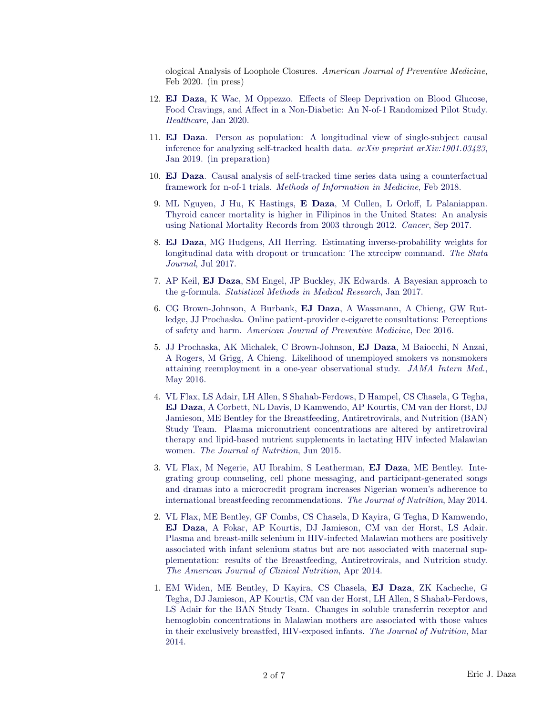ological Analysis of Loophole Closures. American Journal of Preventive Medicine, Feb 2020. (in press)

- 12. EJ Daza[, K Wac, M Oppezzo. Effects of Sleep Deprivation on Blood Glucose,](https://www.mdpi.com/2227-9032/8/1/6) [Food Cravings, and Affect in a Non-Diabetic: An N-of-1 Randomized Pilot Study.](https://www.mdpi.com/2227-9032/8/1/6) Healthcare[, Jan 2020.](https://www.mdpi.com/2227-9032/8/1/6)
- 11. EJ Daza[. Person as population: A longitudinal view of single-subject causal](https://arxiv.org/abs/1901.03423) [inference for analyzing self-tracked health data.](https://arxiv.org/abs/1901.03423)  $arXiv$  preprint  $arXiv:1901.03423$ , [Jan 2019. \(in preparation\)](https://arxiv.org/abs/1901.03423)
- 10. EJ Daza[. Causal analysis of self-tracked time series data using a counterfactual](https://www.thieme-connect.com/products/ejournals/abstract/10.3414/ME16-02-0044) framework for n-of-1 trials. [Methods of Information in Medicine](https://www.thieme-connect.com/products/ejournals/abstract/10.3414/ME16-02-0044), Feb 2018.
- 9. ML Nguyen, J Hu, K Hastings, E Daza[, M Cullen, L Orloff, L Palaniappan.](http://onlinelibrary.wiley.com/doi/10.1002/cncr.30958/full) [Thyroid cancer mortality is higher in Filipinos in the United States: An analysis](http://onlinelibrary.wiley.com/doi/10.1002/cncr.30958/full) [using National Mortality Records from 2003 through 2012.](http://onlinelibrary.wiley.com/doi/10.1002/cncr.30958/full) Cancer, Sep 2017.
- 8. EJ Daza[, MG Hudgens, AH Herring. Estimating inverse-probability weights for](http://www.stata-journal.com/article.html?article=st0474) [longitudinal data with dropout or truncation: The xtrccipw command.](http://www.stata-journal.com/article.html?article=st0474) The Stata Journal[, Jul 2017.](http://www.stata-journal.com/article.html?article=st0474)
- 7. AP Keil, EJ Daza[, SM Engel, JP Buckley, JK Edwards. A Bayesian approach to](http://journals.sagepub.com/doi/abs/10.1177/0962280217694665) the g-formula. [Statistical Methods in Medical Research](http://journals.sagepub.com/doi/abs/10.1177/0962280217694665), Jan 2017.
- 6. CG Brown-Johnson, A Burbank, EJ Daza[, A Wassmann, A Chieng, GW Rut](http://www.ajpmonline.org/article/S0749-3797(16)30247-1/abstract)[ledge, JJ Prochaska. Online patient-provider e-cigarette consultations: Perceptions](http://www.ajpmonline.org/article/S0749-3797(16)30247-1/abstract) of safety and harm. [American Journal of Preventive Medicine](http://www.ajpmonline.org/article/S0749-3797(16)30247-1/abstract), Dec 2016.
- 5. [JJ Prochaska, AK Michalek, C Brown-Johnson,](http://archinte.jamanetwork.com/article.aspx?articleid=2513450) EJ Daza, M Baiocchi, N Anzai, [A Rogers, M Grigg, A Chieng. Likelihood of unemployed smokers vs nonsmokers](http://archinte.jamanetwork.com/article.aspx?articleid=2513450) [attaining reemployment in a one-year observational study.](http://archinte.jamanetwork.com/article.aspx?articleid=2513450) JAMA Intern Med. [May 2016.](http://archinte.jamanetwork.com/article.aspx?articleid=2513450)
- 4. [VL Flax, LS Adair, LH Allen, S Shahab-Ferdows, D Hampel, CS Chasela, G Tegha,](http://jn.nutrition.org/content/145/8/1950.abstract) EJ Daza[, A Corbett, NL Davis, D Kamwendo, AP Kourtis, CM van der Horst, DJ](http://jn.nutrition.org/content/145/8/1950.abstract) [Jamieson, ME Bentley for the Breastfeeding, Antiretrovirals, and Nutrition \(BAN\)](http://jn.nutrition.org/content/145/8/1950.abstract) [Study Team. Plasma micronutrient concentrations are altered by antiretroviral](http://jn.nutrition.org/content/145/8/1950.abstract) [therapy and lipid-based nutrient supplements in lactating HIV infected Malawian](http://jn.nutrition.org/content/145/8/1950.abstract) women. [The Journal of Nutrition](http://jn.nutrition.org/content/145/8/1950.abstract), Jun 2015.
- 3. [VL Flax, M Negerie, AU Ibrahim, S Leatherman,](http://jn.nutrition.org/content/early/2014/05/07/jn.113.190124.abstract) EJ Daza, ME Bentley. Inte[grating group counseling, cell phone messaging, and participant-generated songs](http://jn.nutrition.org/content/early/2014/05/07/jn.113.190124.abstract) [and dramas into a microcredit program increases Nigerian women's adherence to](http://jn.nutrition.org/content/early/2014/05/07/jn.113.190124.abstract) [international breastfeeding recommendations.](http://jn.nutrition.org/content/early/2014/05/07/jn.113.190124.abstract) The Journal of Nutrition, May 2014.
- 2. [VL Flax, ME Bentley, GF Combs, CS Chasela, D Kayira, G Tegha, D Kamwendo,](http://ajcn.nutrition.org/content/early/2014/02/05/ajcn.113.073833.abstract) EJ Daza[, A Fokar, AP Kourtis, DJ Jamieson, CM van der Horst, LS Adair.](http://ajcn.nutrition.org/content/early/2014/02/05/ajcn.113.073833.abstract) [Plasma and breast-milk selenium in HIV-infected Malawian mothers are positively](http://ajcn.nutrition.org/content/early/2014/02/05/ajcn.113.073833.abstract) [associated with infant selenium status but are not associated with maternal sup](http://ajcn.nutrition.org/content/early/2014/02/05/ajcn.113.073833.abstract)[plementation: results of the Breastfeeding, Antiretrovirals, and Nutrition study.](http://ajcn.nutrition.org/content/early/2014/02/05/ajcn.113.073833.abstract) [The American Journal of Clinical Nutrition](http://ajcn.nutrition.org/content/early/2014/02/05/ajcn.113.073833.abstract), Apr 2014.
- 1. [EM Widen, ME Bentley, D Kayira, CS Chasela,](http://jn.nutrition.org/content/144/3/367.short?rss=1) EJ Daza, ZK Kacheche, G [Tegha, DJ Jamieson, AP Kourtis, CM van der Horst, LH Allen, S Shahab-Ferdows,](http://jn.nutrition.org/content/144/3/367.short?rss=1) [LS Adair for the BAN Study Team. Changes in soluble transferrin receptor and](http://jn.nutrition.org/content/144/3/367.short?rss=1) [hemoglobin concentrations in Malawian mothers are associated with those values](http://jn.nutrition.org/content/144/3/367.short?rss=1) [in their exclusively breastfed, HIV-exposed infants.](http://jn.nutrition.org/content/144/3/367.short?rss=1) The Journal of Nutrition, Mar [2014.](http://jn.nutrition.org/content/144/3/367.short?rss=1)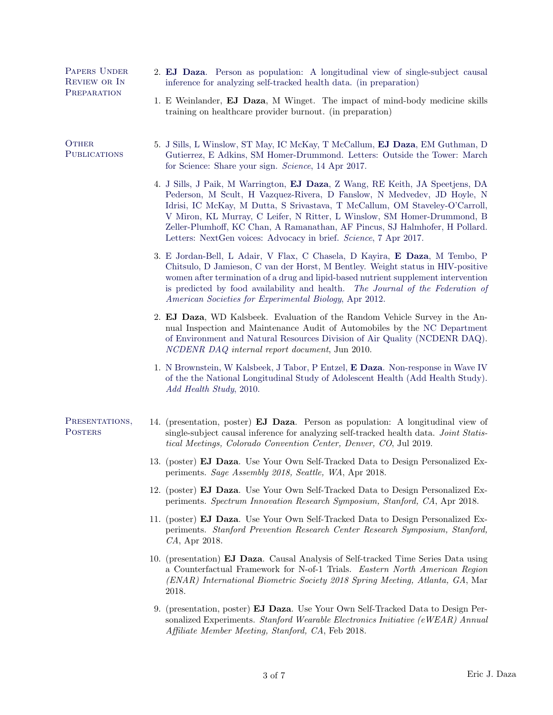| REVIEW OR IN<br>inference for analyzing self-tracked health data. (in preparation)<br>PREPARATION<br>1. E Weinlander, <b>EJ Daza</b> , M Winget. The impact of mind-body medicine skills<br>training on healthcare provider burnout. (in preparation)                                                                                                                                           |                                                                                                                                                                                                                                                                                                                                                                                                   |  |
|-------------------------------------------------------------------------------------------------------------------------------------------------------------------------------------------------------------------------------------------------------------------------------------------------------------------------------------------------------------------------------------------------|---------------------------------------------------------------------------------------------------------------------------------------------------------------------------------------------------------------------------------------------------------------------------------------------------------------------------------------------------------------------------------------------------|--|
|                                                                                                                                                                                                                                                                                                                                                                                                 |                                                                                                                                                                                                                                                                                                                                                                                                   |  |
| <b>OTHER</b><br>5. J Sills, L Winslow, ST May, IC McKay, T McCallum, EJ Daza, EM Guthman, D<br><b>PUBLICATIONS</b><br>Gutierrez, E Adkins, SM Homer-Drummond. Letters: Outside the Tower: March<br>for Science: Share your sign. Science, 14 Apr 2017.                                                                                                                                          |                                                                                                                                                                                                                                                                                                                                                                                                   |  |
| Letters: NextGen voices: Advocacy in brief. Science, 7 Apr 2017.                                                                                                                                                                                                                                                                                                                                | 4. J Sills, J Paik, M Warrington, EJ Daza, Z Wang, RE Keith, JA Speetjens, DA<br>Pederson, M Scult, H Vazquez-Rivera, D Fanslow, N Medvedev, JD Hoyle, N<br>Idrisi, IC McKay, M Dutta, S Srivastava, T McCallum, OM Staveley-O'Carroll,<br>V Miron, KL Murray, C Leifer, N Ritter, L Winslow, SM Homer-Drummond, B<br>Zeller-Plumhoff, KC Chan, A Ramanathan, AF Pincus, SJ Halmhofer, H Pollard. |  |
| 3. E Jordan-Bell, L Adair, V Flax, C Chasela, D Kayira, E Daza, M Tembo, P<br>Chitsulo, D Jamieson, C van der Horst, M Bentley. Weight status in HIV-positive<br>women after termination of a drug and lipid-based nutrient supplement intervention<br>is predicted by food availability and health. The Journal of the Federation of<br>American Societies for Experimental Biology, Apr 2012. |                                                                                                                                                                                                                                                                                                                                                                                                   |  |
| 2. EJ Daza, WD Kalsbeek. Evaluation of the Random Vehicle Survey in the An-<br>nual Inspection and Maintenance Audit of Automobiles by the NC Department<br>of Environment and Natural Resources Division of Air Quality (NCDENR DAQ).<br>NCDENR DAQ internal report document, Jun 2010.                                                                                                        |                                                                                                                                                                                                                                                                                                                                                                                                   |  |
| 1. N Brownstein, W Kalsbeek, J Tabor, P Entzel, E Daza. Non-response in Wave IV<br>of the the National Longitudinal Study of Adolescent Health (Add Health Study).<br>Add Health Study, 2010.                                                                                                                                                                                                   |                                                                                                                                                                                                                                                                                                                                                                                                   |  |
| PRESENTATIONS,<br>14. (presentation, poster) <b>EJ Daza</b> . Person as population: A longitudinal view of<br><b>POSTERS</b><br>single-subject causal inference for analyzing self-tracked health data. Joint Statis-<br>tical Meetings, Colorado Convention Center, Denver, CO, Jul 2019.                                                                                                      |                                                                                                                                                                                                                                                                                                                                                                                                   |  |
| 13. (poster) EJ Daza. Use Your Own Self-Tracked Data to Design Personalized Ex-<br>periments. Sage Assembly 2018, Seattle, WA, Apr 2018.                                                                                                                                                                                                                                                        |                                                                                                                                                                                                                                                                                                                                                                                                   |  |
| 12. (poster) <b>EJ Daza</b> . Use Your Own Self-Tracked Data to Design Personalized Ex-<br>periments. Spectrum Innovation Research Symposium, Stanford, CA, Apr 2018.                                                                                                                                                                                                                           |                                                                                                                                                                                                                                                                                                                                                                                                   |  |
| 11. (poster) <b>EJ Daza</b> . Use Your Own Self-Tracked Data to Design Personalized Ex-<br>periments. Stanford Prevention Research Center Research Symposium, Stanford,<br><i>CA</i> , Apr 2018.                                                                                                                                                                                                |                                                                                                                                                                                                                                                                                                                                                                                                   |  |
| 10. (presentation) <b>EJ Daza</b> . Causal Analysis of Self-tracked Time Series Data using<br>a Counterfactual Framework for N-of-1 Trials. Eastern North American Region<br>(ENAR) International Biometric Society 2018 Spring Meeting, Atlanta, GA, Mar<br>2018.                                                                                                                              |                                                                                                                                                                                                                                                                                                                                                                                                   |  |
| 9. (presentation, poster) EJ Daza. Use Your Own Self-Tracked Data to Design Per-<br>sonalized Experiments. Stanford Wearable Electronics Initiative (eWEAR) Annual<br>Affiliate Member Meeting, Stanford, CA, Feb 2018.                                                                                                                                                                         |                                                                                                                                                                                                                                                                                                                                                                                                   |  |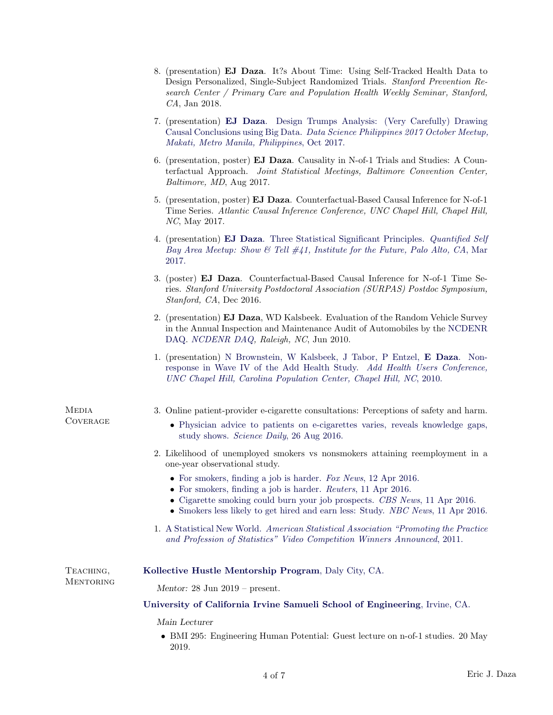|                                 | 8. (presentation) <b>EJ Daza.</b> It?s About Time: Using Self-Tracked Health Data to<br>Design Personalized, Single-Subject Randomized Trials. Stanford Prevention Re-<br>search Center / Primary Care and Population Health Weekly Seminar, Stanford,<br>$CA$ , Jan 2018.                      |  |  |
|---------------------------------|-------------------------------------------------------------------------------------------------------------------------------------------------------------------------------------------------------------------------------------------------------------------------------------------------|--|--|
|                                 | 7. (presentation) EJ Daza. Design Trumps Analysis: (Very Carefully) Drawing<br>Causal Conclusions using Big Data. Data Science Philippines 2017 October Meetup,<br>Makati, Metro Manila, Philippines, Oct 2017.                                                                                 |  |  |
|                                 | 6. (presentation, poster) <b>EJ Daza</b> . Causality in N-of-1 Trials and Studies: A Coun-<br>terfactual Approach. Joint Statistical Meetings, Baltimore Convention Center,<br>Baltimore, MD, Aug 2017.                                                                                         |  |  |
|                                 | 5. (presentation, poster) EJ Daza. Counterfactual-Based Causal Inference for N-of-1<br>Time Series. Atlantic Causal Inference Conference, UNC Chapel Hill, Chapel Hill,<br><i>NC</i> , May 2017.                                                                                                |  |  |
|                                 | 4. (presentation) <b>EJ Daza</b> . Three Statistical Significant Principles. <i>Quantified Self</i><br>Bay Area Meetup: Show & Tell $\#41$ , Institute for the Future, Palo Alto, CA, Mar<br>2017.                                                                                              |  |  |
|                                 | 3. (poster) EJ Daza. Counterfactual-Based Causal Inference for N-of-1 Time Se-<br>ries. Stanford University Postdoctoral Association (SURPAS) Postdoc Symposium,<br>Stanford, CA, Dec 2016.                                                                                                     |  |  |
|                                 | 2. (presentation) <b>EJ Daza</b> , WD Kalsbeek. Evaluation of the Random Vehicle Survey<br>in the Annual Inspection and Maintenance Audit of Automobiles by the NCDENR<br>DAQ. NCDENR DAQ, Raleigh, NC, Jun 2010.                                                                               |  |  |
|                                 | 1. (presentation) N Brownstein, W Kalsbeek, J Tabor, P Entzel, E Daza. Non-<br>response in Wave IV of the Add Health Study. Add Health Users Conference,<br>UNC Chapel Hill, Carolina Population Center, Chapel Hill, NC, 2010.                                                                 |  |  |
| <b>MEDIA</b><br><b>COVERAGE</b> | 3. Online patient-provider e-cigarette consultations: Perceptions of safety and harm.<br>• Physician advice to patients on e-cigarettes varies, reveals knowledge gaps,<br>study shows. Science Daily, 26 Aug 2016.                                                                             |  |  |
|                                 | 2. Likelihood of unemployed smokers vs nonsmokers attaining reemployment in a<br>one-year observational study.                                                                                                                                                                                  |  |  |
|                                 | • For smokers, finding a job is harder. For News, 12 Apr 2016.<br>• For smokers, finding a job is harder. Reuters, 11 Apr 2016.<br>• Cigarette smoking could burn your job prospects. CBS News, 11 Apr 2016.<br>• Smokers less likely to get hired and earn less: Study. NBC News, 11 Apr 2016. |  |  |
|                                 | 1. A Statistical New World. American Statistical Association "Promoting the Practice"<br>and Profession of Statistics" Video Competition Winners Announced, 2011.                                                                                                                               |  |  |
| TEACHING,<br><b>MENTORING</b>   | Kollective Hustle Mentorship Program, Daly City, CA.                                                                                                                                                                                                                                            |  |  |
|                                 | Mentor: $28 \text{ Jun } 2019$ – present.                                                                                                                                                                                                                                                       |  |  |
|                                 | University of California Irvine Samueli School of Engineering, Irvine, CA.                                                                                                                                                                                                                      |  |  |
|                                 | Main Lecturer<br>• BMI 295: Engineering Human Potential: Guest lecture on n-of-1 studies. 20 May<br>2019.                                                                                                                                                                                       |  |  |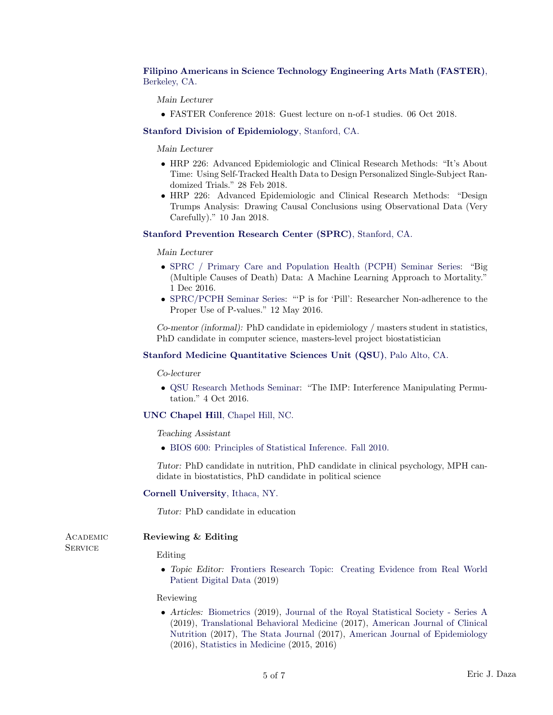[Filipino Americans in Science Technology Engineering Arts Math \(FASTER\)](https://www.faster-steam.org/), [Berkeley, CA.](https://www.faster-steam.org/)

Main Lecturer

• FASTER Conference 2018: Guest lecture on n-of-1 studies. 06 Oct 2018.

## [Stanford Division of Epidemiology](http://med.stanford.edu/epidemiology.html), Stanford, CA.

Main Lecturer

- HRP 226: Advanced Epidemiologic and Clinical Research Methods: "It's About Time: Using Self-Tracked Health Data to Design Personalized Single-Subject Randomized Trials." 28 Feb 2018.
- HRP 226: Advanced Epidemiologic and Clinical Research Methods: "Design Trumps Analysis: Drawing Causal Conclusions using Observational Data (Very Carefully)." 10 Jan 2018.

### [Stanford Prevention Research Center \(SPRC\)](http://prevention.stanford.edu/), Stanford, CA.

Main Lecturer

- [SPRC / Primary Care and Population Health \(PCPH\) Seminar Series:](http://prevention.stanford.edu/education/events.html) "Big (Multiple Causes of Death) Data: A Machine Learning Approach to Mortality." 1 Dec 2016.
- [SPRC/PCPH Seminar Series:](http://prevention.stanford.edu/education/events.html) "'P is for 'Pill': Researcher Non-adherence to the Proper Use of P-values." 12 May 2016.

Co-mentor (informal): PhD candidate in epidemiology / masters student in statistics, PhD candidate in computer science, masters-level project biostatistician

# [Stanford Medicine Quantitative Sciences Unit \(QSU\)](http://med.stanford.edu/qsu.html), Palo Alto, CA.

Co-lecturer

• [QSU Research Methods Seminar:](http://med.stanford.edu/qsu/seminars.html) "The IMP: Interference Manipulating Permutation." 4 Oct 2016.

## [UNC Chapel Hill](http://www.unc.edu/), Chapel Hill, NC.

Teaching Assistant

• [BIOS 600: Principles of Statistical Inference. Fall 2010.](http://sph.unc.edu/bios/bios-600-faqs/)

Tutor: PhD candidate in nutrition, PhD candidate in clinical psychology, MPH candidate in biostatistics, PhD candidate in political science

## [Cornell University](http://www.cornell.edu/), Ithaca, NY.

Tutor: PhD candidate in education

**SERVICE** 

# ACADEMIC Reviewing & Editing

Editing

• Topic Editor: [Frontiers Research Topic: Creating Evidence from Real World](https://www.frontiersin.org/research-topics/10089/creating-evidence-from-real-world-patient-digital-data) [Patient Digital Data](https://www.frontiersin.org/research-topics/10089/creating-evidence-from-real-world-patient-digital-data) (2019)

#### Reviewing

• Articles: [Biometrics](http://www.biometrics.tibs.org/) (2019), [Journal of the Royal Statistical Society - Series A](https://rss.onlinelibrary.wiley.com/journal/1467985X) (2019), [Translational Behavioral Medicine](https://link.springer.com/journal/13142) (2017), [American Journal of Clinical](http://ajcn.nutrition.org/) [Nutrition](http://ajcn.nutrition.org/) (2017), [The Stata Journal](http://www.stata-journal.com/) (2017), [American Journal of Epidemiology](https://academic.oup.com/aje) (2016), [Statistics in Medicine](http://onlinelibrary.wiley.com/journal/10.1002/(ISSN)1097-0258) (2015, 2016)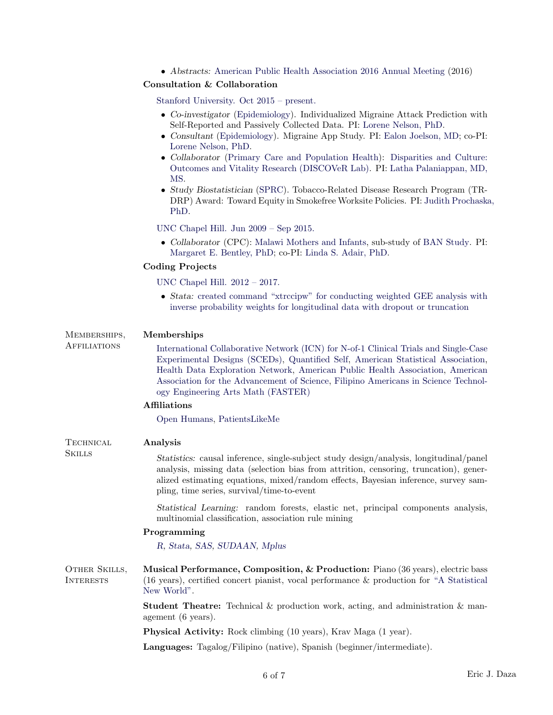• Abstracts: [American Public Health Association 2016 Annual Meeting](https://academic.oup.com/aje) (2016)

# Consultation & Collaboration

[Stanford University. Oct 2015 – present.](http://prevention.stanford.edu/)

- Co-investigator [\(Epidemiology\)](http://med.stanford.edu/epidemiology.html). Individualized Migraine Attack Prediction with Self-Reported and Passively Collected Data. PI: [Lorene Nelson, PhD.](https://profiles.stanford.edu/lorene-nelson)
- Consultant [\(Epidemiology\)](http://med.stanford.edu/epidemiology.html). Migraine App Study. PI: [Ealon Joelson, MD;](http://www.pamf.org/dr-ealon-joelson.html) co-PI: [Lorene Nelson, PhD.](https://profiles.stanford.edu/lorene-nelson)
- Collaborator [\(Primary Care and Population Health\)](http://med.stanford.edu/pcph.html): [Disparities and Culture:](http://med.stanford.edu/discover.html/) [Outcomes and Vitality Research \(DISCOVeR Lab\).](http://med.stanford.edu/discover.html/) PI: [Latha Palaniappan, MD,](https://profiles.stanford.edu/latha-palaniappan) [MS.](https://profiles.stanford.edu/latha-palaniappan)
- Study Biostatistician [\(SPRC\)](http://prevention.stanford.edu/). Tobacco-Related Disease Research Program (TR-DRP) Award: Toward Equity in Smokefree Worksite Policies. PI: [Judith Prochaska](https://profiles.stanford.edu/judith-prochaska), [PhD.](https://profiles.stanford.edu/judith-prochaska)

[UNC Chapel Hill. Jun 2009 – Sep 2015.](http://www.unc.edu/)

• Collaborator (CPC): [Malawi Mothers and Infants,](http://www.cpc.unc.edu/news/features/improving-health-and-survival-in-malawi) sub-study of [BAN Study.](http://www.hpdp.unc.edu/research/current-projects/ban) PI: [Margaret E. Bentley, PhD;](http://www.cpc.unc.edu/people/fellows/bio?person=pbentley) co-PI: [Linda S. Adair, PhD.](http://www.cpc.unc.edu/people/fellows/bio?person=adair)

# Coding Projects

[UNC Chapel Hill. 2012 – 2017.](http://www.unc.edu/)

• Stata: [created command "xtrccipw" for conducting weighted GEE analysis with](http://www.stata-journal.com/article.html?article=st0474) [inverse probability weights for longitudinal data with dropout or truncation](http://www.stata-journal.com/article.html?article=st0474)

# Memberships, Memberships

Affiliations [International Collaborative Network \(ICN\) for N-of-1 Clinical Trials and Single-Case](https://nof1andsced.wixsite.com/home) [Experimental Designs \(SCEDs\),](https://nof1andsced.wixsite.com/home) [Quantified Self,](http://quantifiedself.com/) [American Statistical Association,](http://www.amstat.org/) [Health Data Exploration Network,](http://hdexplore.calit2.net/) [American Public Health Association,](https://www.apha.org/) [American](https://www.aaas.org/) [Association for the Advancement of Science,](https://www.aaas.org/) [Filipino Americans in Science Technol](https://www.faster-steam.org/)[ogy Engineering Arts Math \(FASTER\)](https://www.faster-steam.org/)

# Affiliations

[Open Humans,](https://www.openhumans.org/) [PatientsLikeMe](https://www.patientslikeme.com/)

# TECHNICAL **Analysis**

Skills Statistics: causal inference, single-subject study design/analysis, longitudinal/panel analysis, missing data (selection bias from attrition, censoring, truncation), generalized estimating equations, mixed/random effects, Bayesian inference, survey sampling, time series, survival/time-to-event

> Statistical Learning: random forests, elastic net, principal components analysis, multinomial classification, association rule mining

# Programming

[R,](http://cran.r-project.org/) [Stata,](http://www.stata.com/) [SAS,](http://www.sas.com/) [SUDAAN,](http://www.rti.org/sudaan/) [Mplus](http://www.statmodel.com/)

OTHER SKILLS, Musical Performance, Composition, & Production: Piano (36 years), electric bass Interests (16 years), certified concert pianist, vocal performance & production for ["A Statistical](http://www.youtube.com/watch?v=NrDmVdHUtVQ) [New World".](http://www.youtube.com/watch?v=NrDmVdHUtVQ)

> **Student Theatre:** Technical  $\&$  production work, acting, and administration  $\&$  management (6 years).

Physical Activity: Rock climbing (10 years), Krav Maga (1 year).

Languages: Tagalog/Filipino (native), Spanish (beginner/intermediate).